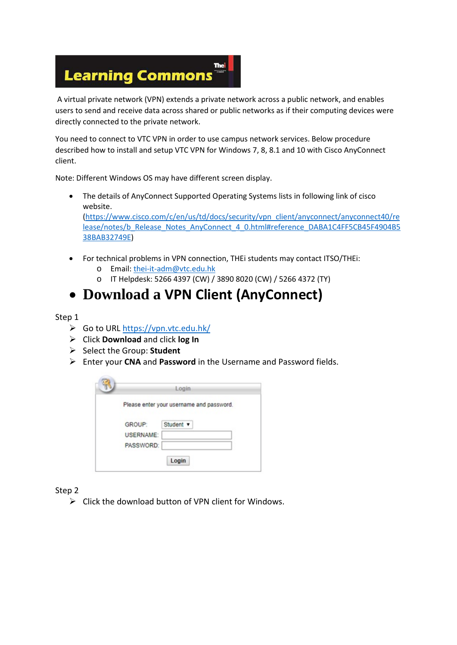#### The **Learning Commons**

A virtual private network (VPN) extends a private network across a public network, and enables users to send and receive data across shared or public networks as if their computing devices were directly connected to the private network.

You need to connect to VTC VPN in order to use campus network services. Below procedure described how to install and setup VTC VPN for Windows 7, 8, 8.1 and 10 with Cisco AnyConnect client.

Note: Different Windows OS may have different screen display.

- The details of AnyConnect Supported Operating Systems lists in following link of cisco website. [\(https://www.cisco.com/c/en/us/td/docs/security/vpn\\_client/anyconnect/anyconnect40/re](https://www.cisco.com/c/en/us/td/docs/security/vpn_client/anyconnect/anyconnect40/release/notes/b_Release_Notes_AnyConnect_4_0.html#reference_DABA1C4FF5CB45F4904B538BAB32749E) [lease/notes/b\\_Release\\_Notes\\_AnyConnect\\_4\\_0.html#reference\\_DABA1C4FF5CB45F4904B5](https://www.cisco.com/c/en/us/td/docs/security/vpn_client/anyconnect/anyconnect40/release/notes/b_Release_Notes_AnyConnect_4_0.html#reference_DABA1C4FF5CB45F4904B538BAB32749E) [38BAB32749E\)](https://www.cisco.com/c/en/us/td/docs/security/vpn_client/anyconnect/anyconnect40/release/notes/b_Release_Notes_AnyConnect_4_0.html#reference_DABA1C4FF5CB45F4904B538BAB32749E)
- For technical problems in VPN connection, THEi students may contact ITSO/THEi: o Email: [thei-it-adm@vtc.edu.hk](mailto:thei-it-adm@vtc.edu.hk)
	- o IT Helpdesk: 5266 4397 (CW) / 3890 8020 (CW) / 5266 4372 (TY)

### • **Download a VPN Client (AnyConnect)**

#### Step 1

- Go to URL<https://vpn.vtc.edu.hk/>
- Click **Download** and click **log In**
- Select the Group: **Student**
- Enter your **CNA** and **Password** in the Username and Password fields.

|                  | Login                                    |
|------------------|------------------------------------------|
|                  | Please enter your username and password. |
| GROUP:           | Student v                                |
| <b>USERNAME:</b> |                                          |
| PASSWORD:        |                                          |
|                  |                                          |

Step 2

 $\triangleright$  Click the download button of VPN client for Windows.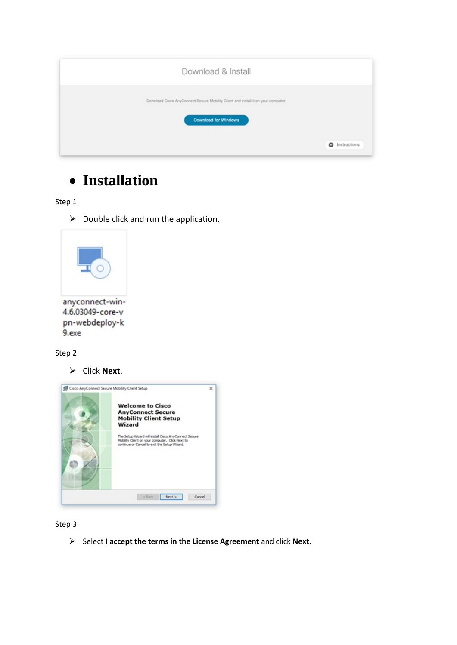| Download & Install                                                                                        |                   |
|-----------------------------------------------------------------------------------------------------------|-------------------|
| Download Cisco AnyConnect Secure Mobility Client and install it on your computer.<br>Download for Windows |                   |
|                                                                                                           | ۰<br>Instructions |

# • **Installation**

Step 1

 $\triangleright$  Double click and run the application.



Step 2

Click **Next**.



Step 3

Select **I accept the terms in the License Agreement** and click **Next**.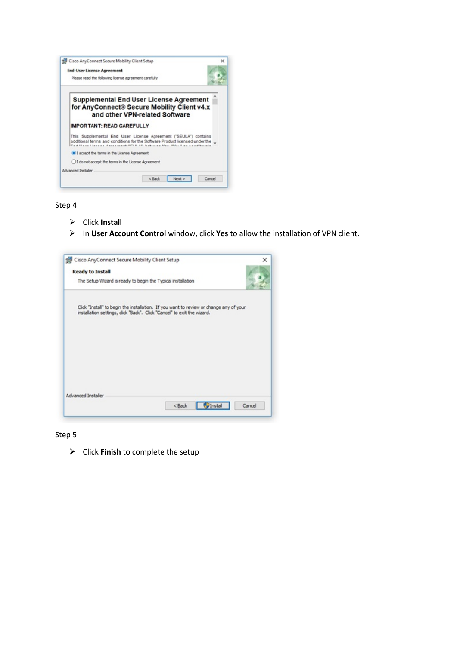

Step 4

- Click **Install**
- In **User Account Control** window, click **Yes** to allow the installation of VPN client.



Step 5

Click **Finish** to complete the setup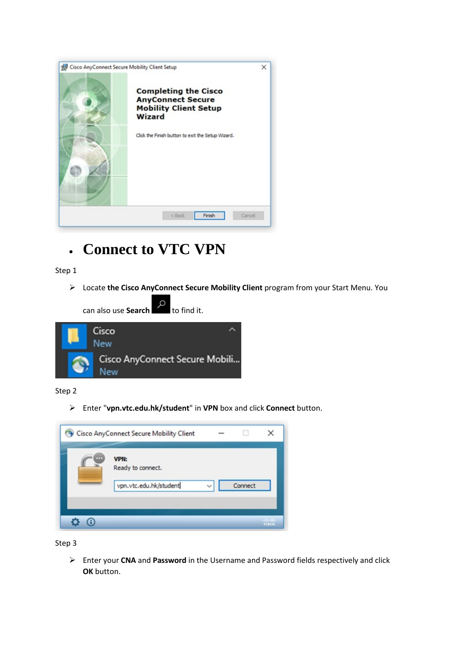

## • **Connect to VTC VPN**

Step 1

Locate **the Cisco AnyConnect Secure Mobility Client** program from your Start Menu. You



Step 2

Enter "**vpn.vtc.edu.hk/student**" in **VPN** box and click **Connect** button.

| ш | <b>VPN:</b>            |              |         |  |
|---|------------------------|--------------|---------|--|
|   | Ready to connect.      |              |         |  |
|   | vpn.vtc.edu.hk/student | $\checkmark$ | Connect |  |
|   |                        |              |         |  |

Step 3

 Enter your **CNA** and **Password** in the Username and Password fields respectively and click **OK** button.